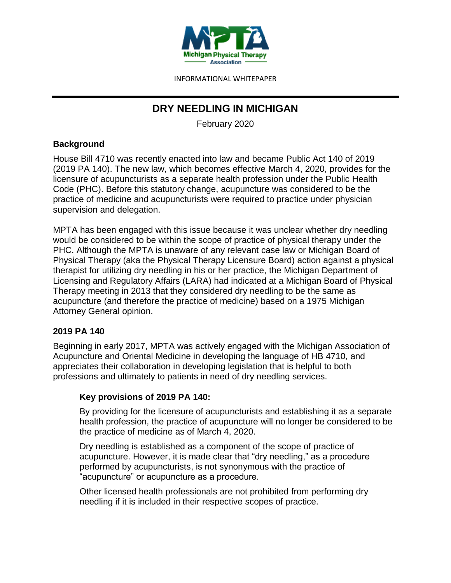

# **DRY NEEDLING IN MICHIGAN**

February 2020

# **Background**

House Bill 4710 was recently enacted into law and became Public Act 140 of 2019 (2019 PA 140). The new law, which becomes effective March 4, 2020, provides for the licensure of acupuncturists as a separate health profession under the Public Health Code (PHC). Before this statutory change, acupuncture was considered to be the practice of medicine and acupuncturists were required to practice under physician supervision and delegation.

MPTA has been engaged with this issue because it was unclear whether dry needling would be considered to be within the scope of practice of physical therapy under the PHC. Although the MPTA is unaware of any relevant case law or Michigan Board of Physical Therapy (aka the Physical Therapy Licensure Board) action against a physical therapist for utilizing dry needling in his or her practice, the Michigan Department of Licensing and Regulatory Affairs (LARA) had indicated at a Michigan Board of Physical Therapy meeting in 2013 that they considered dry needling to be the same as acupuncture (and therefore the practice of medicine) based on a 1975 Michigan Attorney General opinion.

## **2019 PA 140**

Beginning in early 2017, MPTA was actively engaged with the Michigan Association of Acupuncture and Oriental Medicine in developing the language of HB 4710, and appreciates their collaboration in developing legislation that is helpful to both professions and ultimately to patients in need of dry needling services.

# **Key provisions of 2019 PA 140:**

By providing for the licensure of acupuncturists and establishing it as a separate health profession, the practice of acupuncture will no longer be considered to be the practice of medicine as of March 4, 2020.

Dry needling is established as a component of the scope of practice of acupuncture. However, it is made clear that "dry needling," as a procedure performed by acupuncturists, is not synonymous with the practice of "acupuncture" or acupuncture as a procedure.

Other licensed health professionals are not prohibited from performing dry needling if it is included in their respective scopes of practice.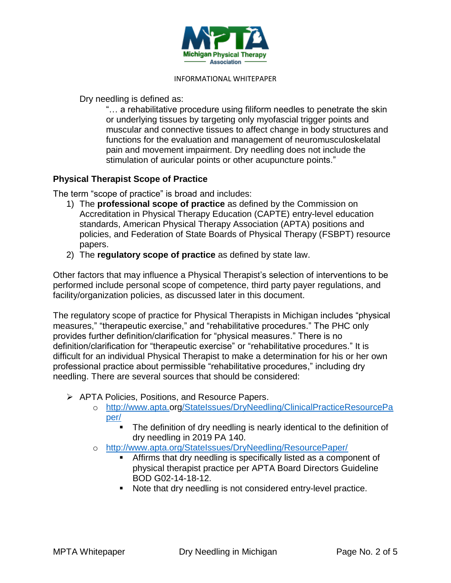

Dry needling is defined as:

"… a rehabilitative procedure using filiform needles to penetrate the skin or underlying tissues by targeting only myofascial trigger points and muscular and connective tissues to affect change in body structures and functions for the evaluation and management of neuromusculoskelatal pain and movement impairment. Dry needling does not include the stimulation of auricular points or other acupuncture points."

# **Physical Therapist Scope of Practice**

The term "scope of practice" is broad and includes:

- 1) The **professional scope of practice** as defined by the Commission on Accreditation in Physical Therapy Education (CAPTE) entry-level education standards, American Physical Therapy Association (APTA) positions and policies, and Federation of State Boards of Physical Therapy (FSBPT) resource papers.
- 2) The **regulatory scope of practice** as defined by state law.

Other factors that may influence a Physical Therapist's selection of interventions to be performed include personal scope of competence, third party payer regulations, and facility/organization policies, as discussed later in this document.

The regulatory scope of practice for Physical Therapists in Michigan includes "physical measures," "therapeutic exercise," and "rehabilitative procedures." The PHC only provides further definition/clarification for "physical measures." There is no definition/clarification for "therapeutic exercise" or "rehabilitative procedures." It is difficult for an individual Physical Therapist to make a determination for his or her own professional practice about permissible "rehabilitative procedures," including dry needling. There are several sources that should be considered:

- ➢ APTA Policies, Positions, and Resource Papers.
	- o [http://www.apta.org/StateIssues/DryNeedling/ClinicalPracticeResourcePa](http://www.apta.org/StateIssues/DryNeedling/ClinicalPracticeResourcePaper/) [per/](http://www.apta.org/StateIssues/DryNeedling/ClinicalPracticeResourcePaper/)
		- The definition of dry needling is nearly identical to the definition of dry needling in 2019 PA 140.
	- o <http://www.apta.org/StateIssues/DryNeedling/ResourcePaper/>
		- **EXEDENT IS Affirms that dry needling is specifically listed as a component of** physical therapist practice per APTA Board Directors Guideline BOD G02-14-18-12.
		- Note that dry needling is not considered entry-level practice.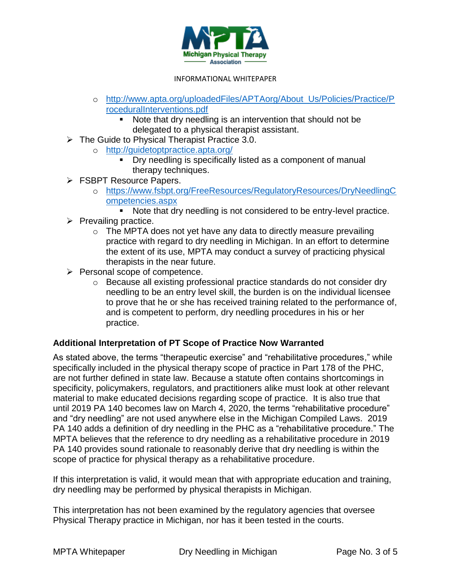

- o [http://www.apta.org/uploadedFiles/APTAorg/About\\_Us/Policies/Practice/P](http://www.apta.org/uploadedFiles/APTAorg/About_Us/Policies/Practice/ProceduralInterventions.pdf) [roceduralInterventions.pdf](http://www.apta.org/uploadedFiles/APTAorg/About_Us/Policies/Practice/ProceduralInterventions.pdf)
	- Note that dry needling is an intervention that should not be delegated to a physical therapist assistant.
- ➢ The Guide to Physical Therapist Practice 3.0.
	- o <http://guidetoptpractice.apta.org/>
		- Dry needling is specifically listed as a component of manual therapy techniques.
- ➢ FSBPT Resource Papers.
	- o [https://www.fsbpt.org/FreeResources/RegulatoryResources/DryNeedlingC](https://www.fsbpt.org/FreeResources/RegulatoryResources/DryNeedlingCompetencies.aspx) [ompetencies.aspx](https://www.fsbpt.org/FreeResources/RegulatoryResources/DryNeedlingCompetencies.aspx)
		- Note that dry needling is not considered to be entry-level practice.
- $\triangleright$  Prevailing practice.
	- $\circ$  The MPTA does not yet have any data to directly measure prevailing practice with regard to dry needling in Michigan. In an effort to determine the extent of its use, MPTA may conduct a survey of practicing physical therapists in the near future.
- ➢ Personal scope of competence.
	- o Because all existing professional practice standards do not consider dry needling to be an entry level skill, the burden is on the individual licensee to prove that he or she has received training related to the performance of, and is competent to perform, dry needling procedures in his or her practice.

## **Additional Interpretation of PT Scope of Practice Now Warranted**

As stated above, the terms "therapeutic exercise" and "rehabilitative procedures," while specifically included in the physical therapy scope of practice in Part 178 of the PHC, are not further defined in state law. Because a statute often contains shortcomings in specificity, policymakers, regulators, and practitioners alike must look at other relevant material to make educated decisions regarding scope of practice. It is also true that until 2019 PA 140 becomes law on March 4, 2020, the terms "rehabilitative procedure" and "dry needling" are not used anywhere else in the Michigan Compiled Laws. 2019 PA 140 adds a definition of dry needling in the PHC as a "rehabilitative procedure." The MPTA believes that the reference to dry needling as a rehabilitative procedure in 2019 PA 140 provides sound rationale to reasonably derive that dry needling is within the scope of practice for physical therapy as a rehabilitative procedure.

If this interpretation is valid, it would mean that with appropriate education and training, dry needling may be performed by physical therapists in Michigan.

This interpretation has not been examined by the regulatory agencies that oversee Physical Therapy practice in Michigan, nor has it been tested in the courts.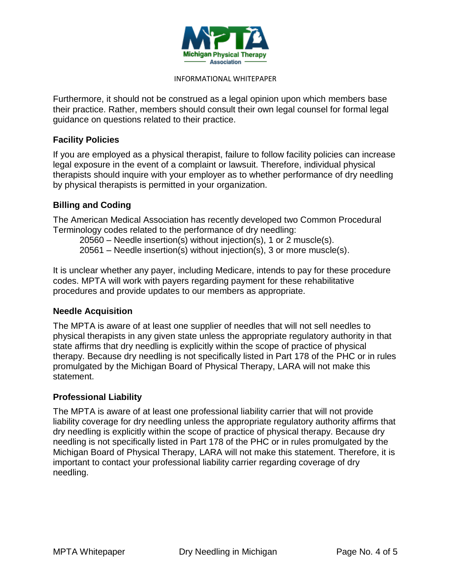

Furthermore, it should not be construed as a legal opinion upon which members base their practice. Rather, members should consult their own legal counsel for formal legal guidance on questions related to their practice.

### **Facility Policies**

If you are employed as a physical therapist, failure to follow facility policies can increase legal exposure in the event of a complaint or lawsuit. Therefore, individual physical therapists should inquire with your employer as to whether performance of dry needling by physical therapists is permitted in your organization.

## **Billing and Coding**

The American Medical Association has recently developed two Common Procedural Terminology codes related to the performance of dry needling:

20560 – Needle insertion(s) without injection(s), 1 or 2 muscle(s).

20561 – Needle insertion(s) without injection(s), 3 or more muscle(s).

It is unclear whether any payer, including Medicare, intends to pay for these procedure codes. MPTA will work with payers regarding payment for these rehabilitative procedures and provide updates to our members as appropriate.

#### **Needle Acquisition**

The MPTA is aware of at least one supplier of needles that will not sell needles to physical therapists in any given state unless the appropriate regulatory authority in that state affirms that dry needling is explicitly within the scope of practice of physical therapy. Because dry needling is not specifically listed in Part 178 of the PHC or in rules promulgated by the Michigan Board of Physical Therapy, LARA will not make this statement.

#### **Professional Liability**

The MPTA is aware of at least one professional liability carrier that will not provide liability coverage for dry needling unless the appropriate regulatory authority affirms that dry needling is explicitly within the scope of practice of physical therapy. Because dry needling is not specifically listed in Part 178 of the PHC or in rules promulgated by the Michigan Board of Physical Therapy, LARA will not make this statement. Therefore, it is important to contact your professional liability carrier regarding coverage of dry needling.